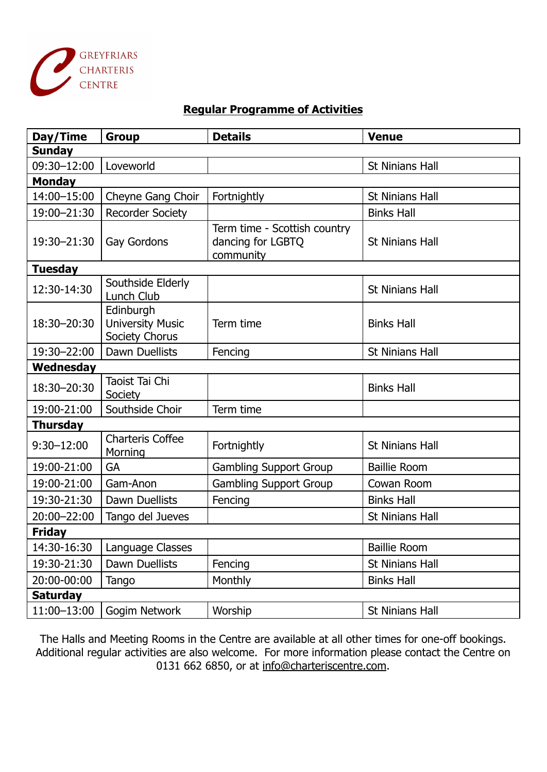

## **Regular Programme of Activities**

| Day/Time        | <b>Group</b>                                           | <b>Details</b>                                                 | <b>Venue</b>           |
|-----------------|--------------------------------------------------------|----------------------------------------------------------------|------------------------|
| <b>Sunday</b>   |                                                        |                                                                |                        |
| 09:30-12:00     | Loveworld                                              |                                                                | <b>St Ninians Hall</b> |
| <b>Monday</b>   |                                                        |                                                                |                        |
| 14:00-15:00     | Cheyne Gang Choir                                      | Fortnightly                                                    | <b>St Ninians Hall</b> |
| 19:00-21:30     | <b>Recorder Society</b>                                |                                                                | <b>Binks Hall</b>      |
| 19:30-21:30     | Gay Gordons                                            | Term time - Scottish country<br>dancing for LGBTQ<br>community | <b>St Ninians Hall</b> |
| <b>Tuesday</b>  |                                                        |                                                                |                        |
| 12:30-14:30     | Southside Elderly<br>Lunch Club                        |                                                                | <b>St Ninians Hall</b> |
| 18:30-20:30     | Edinburgh<br><b>University Music</b><br>Society Chorus | Term time                                                      | <b>Binks Hall</b>      |
| 19:30-22:00     | <b>Dawn Duellists</b>                                  | Fencing                                                        | <b>St Ninians Hall</b> |
| Wednesday       |                                                        |                                                                |                        |
| 18:30-20:30     | Taoist Tai Chi<br>Society                              |                                                                | <b>Binks Hall</b>      |
| 19:00-21:00     | Southside Choir                                        | Term time                                                      |                        |
| <b>Thursday</b> |                                                        |                                                                |                        |
| $9:30 - 12:00$  | <b>Charteris Coffee</b><br>Morning                     | Fortnightly                                                    | <b>St Ninians Hall</b> |
| 19:00-21:00     | <b>GA</b>                                              | <b>Gambling Support Group</b>                                  | <b>Baillie Room</b>    |
| 19:00-21:00     | Gam-Anon                                               | <b>Gambling Support Group</b>                                  | Cowan Room             |
| 19:30-21:30     | <b>Dawn Duellists</b>                                  | Fencing                                                        | <b>Binks Hall</b>      |
| 20:00-22:00     | Tango del Jueves                                       |                                                                | <b>St Ninians Hall</b> |
| <b>Friday</b>   |                                                        |                                                                |                        |
| 14:30-16:30     | Language Classes                                       |                                                                | <b>Baillie Room</b>    |
| 19:30-21:30     | Dawn Duellists                                         | Fencing                                                        | <b>St Ninians Hall</b> |
| 20:00-00:00     | Tango                                                  | Monthly                                                        | <b>Binks Hall</b>      |
| <b>Saturday</b> |                                                        |                                                                |                        |
| 11:00-13:00     | Gogim Network                                          | Worship                                                        | St Ninians Hall        |

The Halls and Meeting Rooms in the Centre are available at all other times for one-off bookings. Additional regular activities are also welcome. For more information please contact the Centre on 0131 662 6850, or at [info@charteriscentre.com](mailto:info@charteriscentre.com).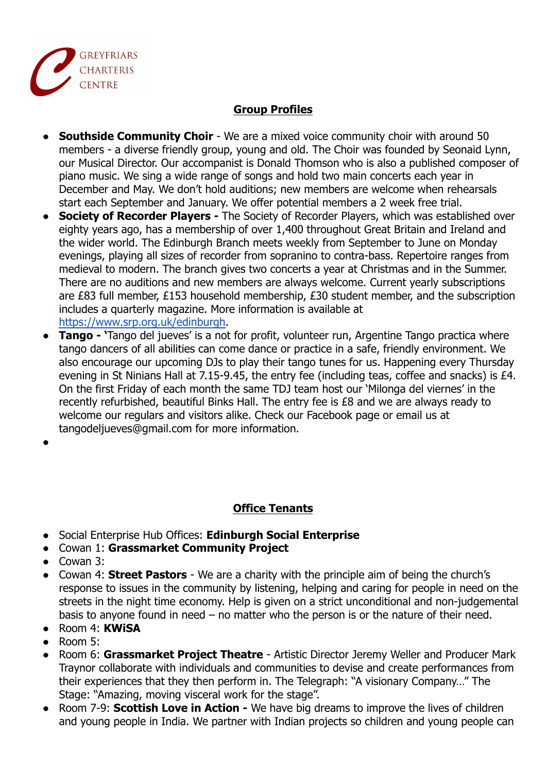

## **Group Profiles**

- **Southside Community Choir** We are a mixed voice community choir with around 50 members - a diverse friendly group, young and old. The Choir was founded by Seonaid Lynn, our Musical Director. Our accompanist is Donald Thomson who is also a published composer of piano music. We sing a wide range of songs and hold two main concerts each year in December and May. We don't hold auditions; new members are welcome when rehearsals start each September and January. We offer potential members a 2 week free trial.
- **● Society of Recorder Players -** The Society of Recorder Players, which was established over eighty years ago, has a membership of over 1,400 throughout Great Britain and Ireland and the wider world. The Edinburgh Branch meets weekly from September to June on Monday evenings, playing all sizes of recorder from sopranino to contra-bass. Repertoire ranges from medieval to modern. The branch gives two concerts a year at Christmas and in the Summer. There are no auditions and new members are always welcome. Current yearly subscriptions are £83 full member, £153 household membership, £30 student member, and the subscription includes a quarterly magazine. More information is available at [https://www.srp.org.uk/edinburgh.](https://www.srp.org.uk/edinburgh)
- **● Tango '**Tango del jueves' is a not for profit, volunteer run, Argentine Tango practica where tango dancers of all abilities can come dance or practice in a safe, friendly environment. We also encourage our upcoming DJs to play their tango tunes for us. Happening every Thursday evening in St Ninians Hall at 7.15-9.45, the entry fee (including teas, coffee and snacks) is £4. On the first Friday of each month the same TDJ team host our 'Milonga del viernes' in the recently refurbished, beautiful Binks Hall. The entry fee is £8 and we are always ready to welcome our regulars and visitors alike. Check our Facebook page or email us at tangodeljueves@gmail.com for more information.
- **●**

## **Office Tenants**

- Social Enterprise Hub Offices: **Edinburgh Social Enterprise**
- Cowan 1: **Grassmarket Community Project**
- Cowan 3:
- Cowan 4: **Street Pastors** We are a charity with the principle aim of being the church's response to issues in the community by listening, helping and caring for people in need on the streets in the night time economy. Help is given on a strict unconditional and non-judgemental basis to anyone found in need – no matter who the person is or the nature of their need.
- Room 4: **KWiSA**
- $\bullet$  Room 5:
- Room 6: **Grassmarket Project Theatre** Artistic Director Jeremy Weller and Producer Mark Traynor collaborate with individuals and communities to devise and create performances from their experiences that they then perform in. The Telegraph: "A visionary Company…" The Stage: "Amazing, moving visceral work for the stage".
- Room 7-9: **Scottish Love in Action -** We have big dreams to improve the lives of children and young people in India. We partner with Indian projects so children and young people can